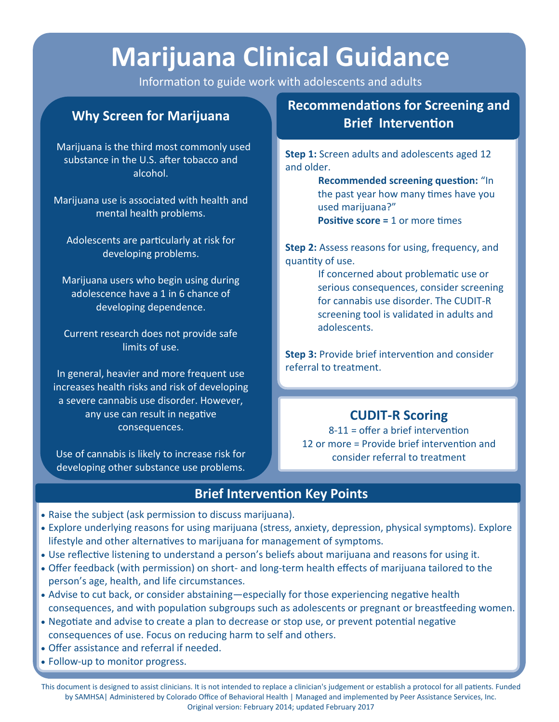# **Marijuana Clinical Guidance**

Information to guide work with adolescents and adults

# **Why Screen for Marijuana**

Marijuana is the third most commonly used substance in the U.S. after tobacco and alcohol.

Marijuana use is associated with health and mental health problems.

Adolescents are particularly at risk for developing problems.

Marijuana users who begin using during adolescence have a 1 in 6 chance of developing dependence.

Current research does not provide safe limits of use.

In general, heavier and more frequent use increases health risks and risk of developing a severe cannabis use disorder. However, any use can result in negative consequences.

Use of cannabis is likely to increase risk for developing other substance use problems.

# **Recommendations for Screening and Brief Intervention**

**Step 1:** Screen adults and adolescents aged 12 and older.

> **Recommended screening question:** "In the past year how many times have you used marijuana?" **Positive score = 1 or more times**

**Step 2:** Assess reasons for using, frequency, and quantity of use.

> If concerned about problematic use or serious consequences, consider screening for cannabis use disorder. The CUDIT-R screening tool is validated in adults and adolescents.

**Step 3:** Provide brief intervention and consider referral to treatment.

# **CUDIT-R Scoring**

8-11 = offer a brief intervention 12 or more = Provide brief intervention and consider referral to treatment

## **Brief Intervention Key Points**

- Raise the subject (ask permission to discuss marijuana).
- Explore underlying reasons for using marijuana (stress, anxiety, depression, physical symptoms). Explore lifestyle and other alternatives to marijuana for management of symptoms.
- Use reflective listening to understand a person's beliefs about marijuana and reasons for using it.
- Offer feedback (with permission) on short- and long-term health effects of marijuana tailored to the person's age, health, and life circumstances.
- Advise to cut back, or consider abstaining—especially for those experiencing negative health consequences, and with population subgroups such as adolescents or pregnant or breastfeeding women.
- Negotiate and advise to create a plan to decrease or stop use, or prevent potential negative consequences of use. Focus on reducing harm to self and others.
- Offer assistance and referral if needed.
- Follow-up to monitor progress.

This document is designed to assist clinicians. It is not intended to replace a clinician's judgement or establish a protocol for all patients. Funded by SAMHSA| Administered by Colorado Office of Behavioral Health | Managed and implemented by Peer Assistance Services, Inc. Original version: February 2014; updated February 2017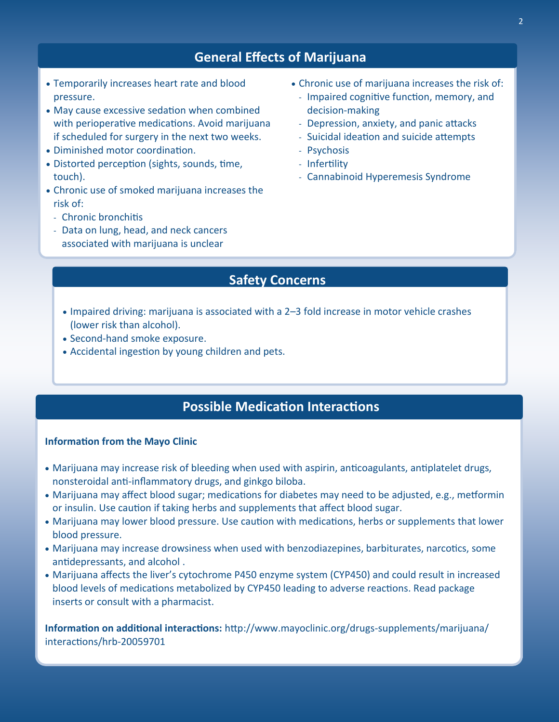## **General Effects of Marijuana**

- Temporarily increases heart rate and blood pressure.
- May cause excessive sedation when combined with perioperative medications. Avoid marijuana if scheduled for surgery in the next two weeks.
- Diminished motor coordination.
- Distorted perception (sights, sounds, time, touch).
- Chronic use of smoked marijuana increases the risk of:
	- Chronic bronchitis
	- Data on lung, head, and neck cancers associated with marijuana is unclear
- Chronic use of marijuana increases the risk of:
	- Impaired cognitive function, memory, and decision-making
	- Depression, anxiety, and panic attacks
	- Suicidal ideation and suicide attempts
	- Psychosis
	- Infertility
	- Cannabinoid Hyperemesis Syndrome

# **Safety Concerns**

- Impaired driving: marijuana is associated with a 2–3 fold increase in motor vehicle crashes (lower risk than alcohol).
- Second-hand smoke exposure.
- Accidental ingestion by young children and pets.

# **Possible Medication Interactions**

#### **Information from the Mayo Clinic**

- Marijuana may increase risk of bleeding when used with aspirin, anticoagulants, antiplatelet drugs, nonsteroidal anti-inflammatory drugs, and ginkgo biloba.
- Marijuana may affect blood sugar; medications for diabetes may need to be adjusted, e.g., metformin or insulin. Use caution if taking herbs and supplements that affect blood sugar.
- Marijuana may lower blood pressure. Use caution with medications, herbs or supplements that lower blood pressure.
- Marijuana may increase drowsiness when used with benzodiazepines, barbiturates, narcotics, some antidepressants, and alcohol .
- Marijuana affects the liver's cytochrome P450 enzyme system (CYP450) and could result in increased blood levels of medications metabolized by CYP450 leading to adverse reactions. Read package inserts or consult with a pharmacist.

**Information on additional interactions:** http://www.mayoclinic.org/drugs-supplements/marijuana/ interactions/hrb-20059701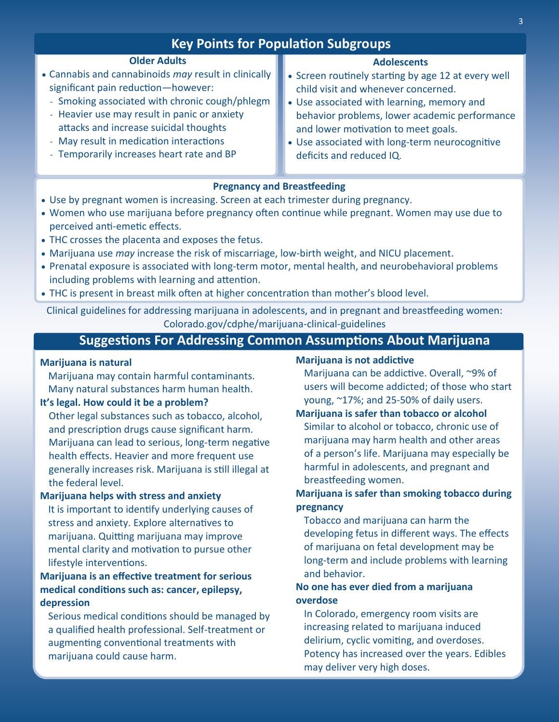| <b>Key Points for Population Subgroups</b>           |                                                     |
|------------------------------------------------------|-----------------------------------------------------|
| <b>Older Adults</b>                                  | <b>Adolescents</b>                                  |
| • Cannabis and cannabinoids may result in clinically | • Screen routinely starting by age 12 at every well |
| significant pain reduction-however:                  | child visit and whenever concerned.                 |
| - Smoking associated with chronic cough/phlegm       | • Use associated with learning, memory and          |
| - Heavier use may result in panic or anxiety         | behavior problems, lower academic performance       |
| attacks and increase suicidal thoughts               | and lower motivation to meet goals.                 |
| - May result in medication interactions              | • Use associated with long-term neurocognitive      |
| - Temporarily increases heart rate and BP            | deficits and reduced IQ.                            |

## **Pregnancy and Breastfeeding**

- Use by pregnant women is increasing. Screen at each trimester during pregnancy.
- Women who use marijuana before pregnancy often continue while pregnant. Women may use due to perceived anti-emetic effects.
- THC crosses the placenta and exposes the fetus.
- Marijuana use *may* increase the risk of miscarriage, low-birth weight, and NICU placement.
- Prenatal exposure is associated with long-term motor, mental health, and neurobehavioral problems including problems with learning and attention.
- THC is present in breast milk often at higher concentration than mother's blood level.

Clinical guidelines for addressing marijuana in adolescents, and in pregnant and breastfeeding women: Colorado.gov/cdphe/marijuana-clinical-guidelines

## **Suggestions For Addressing Common Assumptions About Marijuana**

#### **Marijuana is natural**

Marijuana may contain harmful contaminants. Many natural substances harm human health.

### **It's legal. How could it be a problem?**

Other legal substances such as tobacco, alcohol, and prescription drugs cause significant harm. Marijuana can lead to serious, long-term negative health effects. Heavier and more frequent use generally increases risk. Marijuana is still illegal at the federal level.

### **Marijuana helps with stress and anxiety**

It is important to identify underlying causes of stress and anxiety. Explore alternatives to marijuana. Quitting marijuana may improve mental clarity and motivation to pursue other lifestyle interventions.

## **Marijuana is an effective treatment for serious medical conditions such as: cancer, epilepsy, depression**

Serious medical conditions should be managed by a qualified health professional. Self-treatment or augmenting conventional treatments with marijuana could cause harm.

## **Marijuana is not addictive**

Marijuana can be addictive. Overall, ~9% of users will become addicted; of those who start young, ~17%; and 25-50% of daily users.

## **Marijuana is safer than tobacco or alcohol** Similar to alcohol or tobacco, chronic use of marijuana may harm health and other areas of a person's life. Marijuana may especially be harmful in adolescents, and pregnant and breastfeeding women.

## **Marijuana is safer than smoking tobacco during pregnancy**

Tobacco and marijuana can harm the developing fetus in different ways. The effects of marijuana on fetal development may be long-term and include problems with learning and behavior.

## **No one has ever died from a marijuana overdose**

In Colorado, emergency room visits are increasing related to marijuana induced delirium, cyclic vomiting, and overdoses. Potency has increased over the years. Edibles may deliver very high doses.